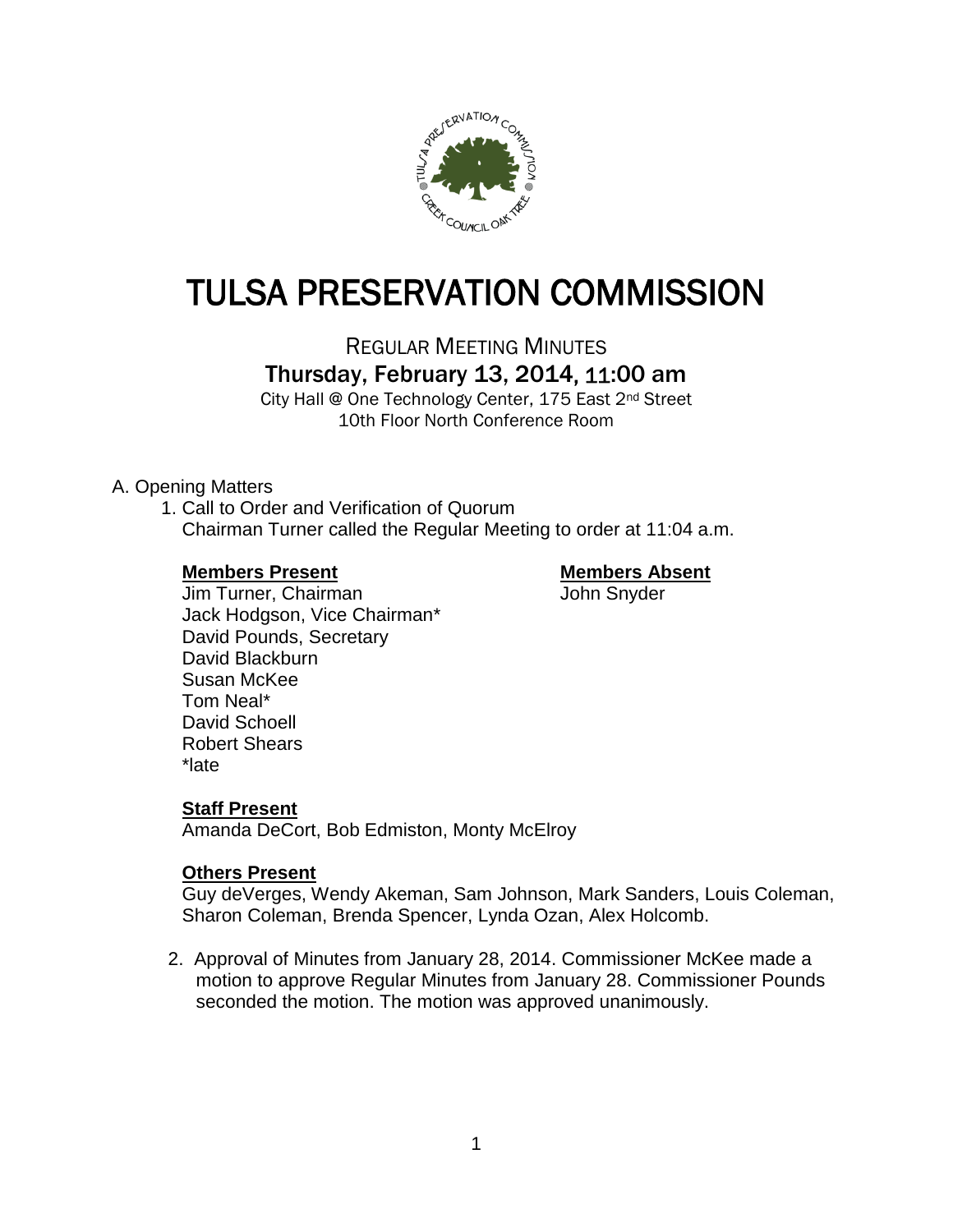

# TULSA PRESERVATION COMMISSION

REGULAR MEETING MINUTES Thursday, February 13, 2014, 11:00 am

City Hall @ One Technology Center, 175 East 2nd Street 10th Floor North Conference Room

# A. Opening Matters

1. Call to Order and Verification of Quorum Chairman Turner called the Regular Meeting to order at 11:04 a.m.

# **Members Present Members Absent**

Jim Turner, Chairman John Snyder Jack Hodgson, Vice Chairman\* David Pounds, Secretary David Blackburn Susan McKee Tom Neal\* David Schoell Robert Shears \*late

# **Staff Present**

Amanda DeCort, Bob Edmiston, Monty McElroy

#### **Others Present**

Guy deVerges, Wendy Akeman, Sam Johnson, Mark Sanders, Louis Coleman, Sharon Coleman, Brenda Spencer, Lynda Ozan, Alex Holcomb.

2. Approval of Minutes from January 28, 2014. Commissioner McKee made a motion to approve Regular Minutes from January 28. Commissioner Pounds seconded the motion. The motion was approved unanimously.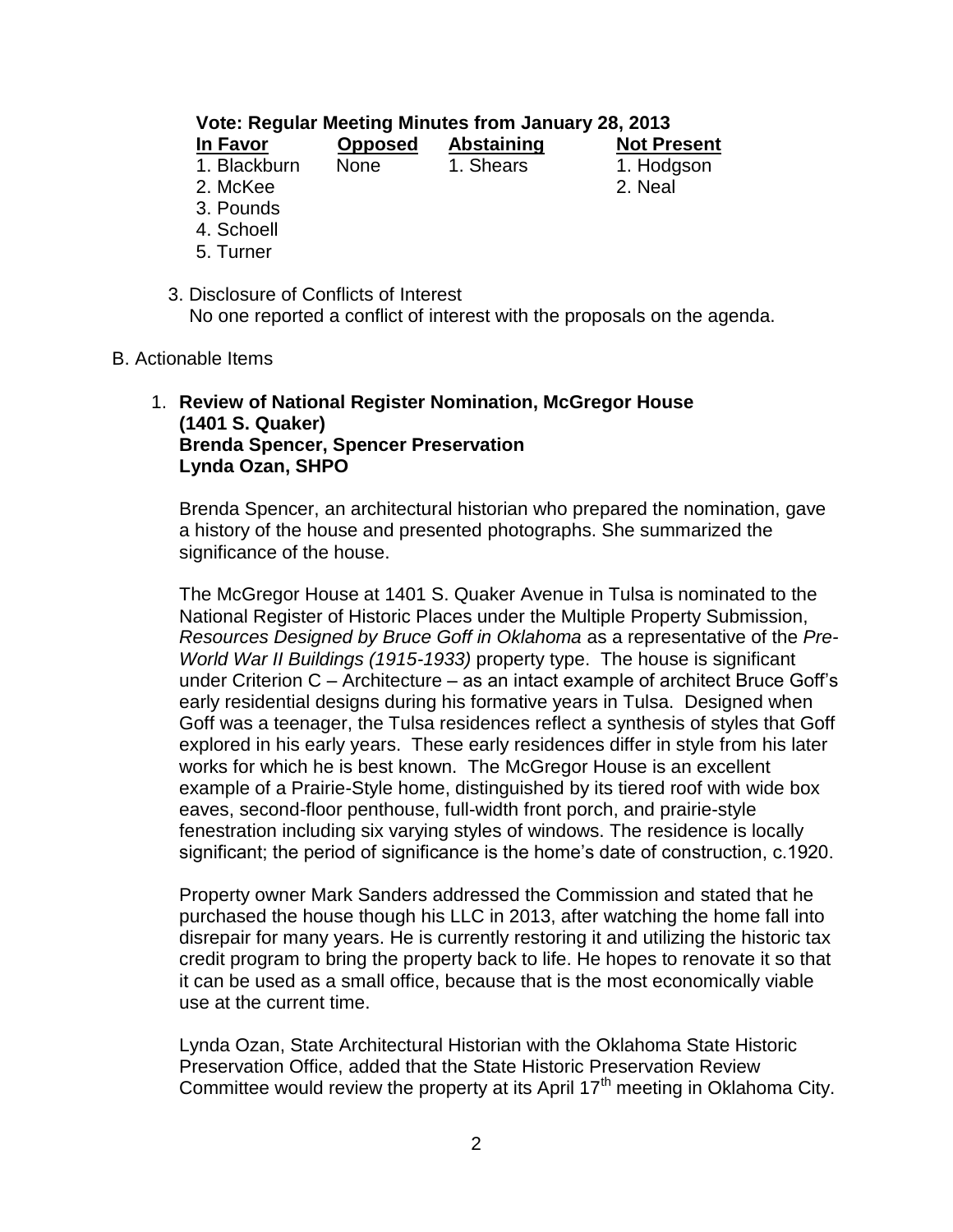| Vote: Regular Meeting Minutes from January 28, 2013 |                |            |                    |  |
|-----------------------------------------------------|----------------|------------|--------------------|--|
| In Favor                                            | <b>Opposed</b> | Abstaining | <b>Not Present</b> |  |
| 1. Blackburn                                        | <b>None</b>    | 1. Shears  | 1. Hodgson         |  |
| 2. McKee                                            |                |            | 2. Neal            |  |
| 3. Pounds                                           |                |            |                    |  |
| 4. Schoell                                          |                |            |                    |  |

- 5. Turner
- 3. Disclosure of Conflicts of Interest No one reported a conflict of interest with the proposals on the agenda.
- B. Actionable Items

#### 1. **Review of National Register Nomination, McGregor House (1401 S. Quaker) Brenda Spencer, Spencer Preservation Lynda Ozan, SHPO**

Brenda Spencer, an architectural historian who prepared the nomination, gave a history of the house and presented photographs. She summarized the significance of the house.

The McGregor House at 1401 S. Quaker Avenue in Tulsa is nominated to the National Register of Historic Places under the Multiple Property Submission, *Resources Designed by Bruce Goff in Oklahoma* as a representative of the *Pre-World War II Buildings (1915-1933)* property type. The house is significant under Criterion C – Architecture – as an intact example of architect Bruce Goff's early residential designs during his formative years in Tulsa. Designed when Goff was a teenager, the Tulsa residences reflect a synthesis of styles that Goff explored in his early years. These early residences differ in style from his later works for which he is best known. The McGregor House is an excellent example of a Prairie-Style home, distinguished by its tiered roof with wide box eaves, second-floor penthouse, full-width front porch, and prairie-style fenestration including six varying styles of windows. The residence is locally significant; the period of significance is the home's date of construction, c.1920.

Property owner Mark Sanders addressed the Commission and stated that he purchased the house though his LLC in 2013, after watching the home fall into disrepair for many years. He is currently restoring it and utilizing the historic tax credit program to bring the property back to life. He hopes to renovate it so that it can be used as a small office, because that is the most economically viable use at the current time.

Lynda Ozan, State Architectural Historian with the Oklahoma State Historic Preservation Office, added that the State Historic Preservation Review Committee would review the property at its April  $17<sup>th</sup>$  meeting in Oklahoma City.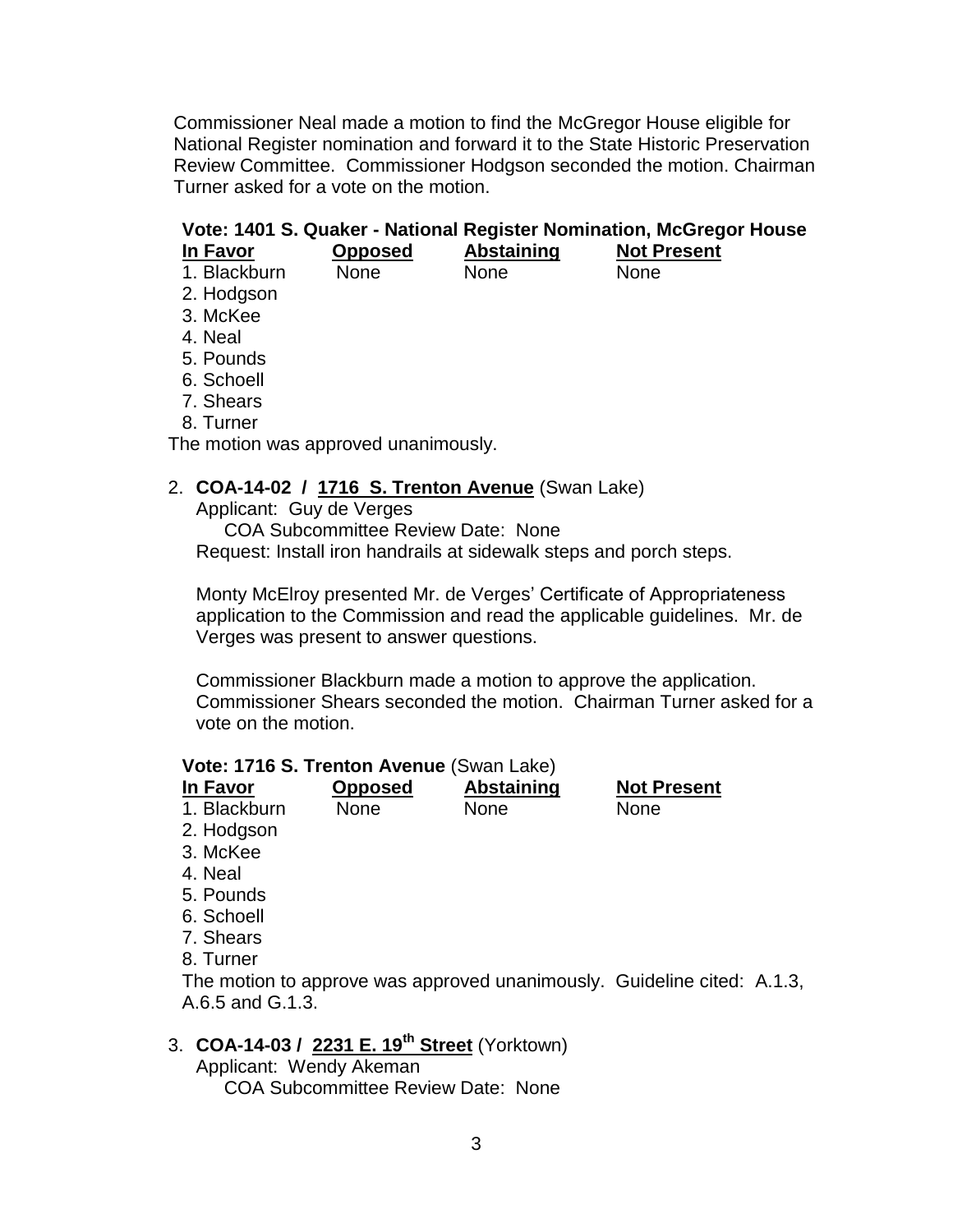Commissioner Neal made a motion to find the McGregor House eligible for National Register nomination and forward it to the State Historic Preservation Review Committee. Commissioner Hodgson seconded the motion. Chairman Turner asked for a vote on the motion.

# **Vote: 1401 S. Quaker - National Register Nomination, McGregor House**

| Opposed     | <b>Abstaining</b> | <b>Not Present</b>                   |
|-------------|-------------------|--------------------------------------|
| <b>None</b> | None              | None                                 |
|             |                   |                                      |
|             |                   |                                      |
|             |                   |                                      |
|             |                   |                                      |
|             |                   |                                      |
|             |                   |                                      |
|             |                   |                                      |
|             |                   |                                      |
|             |                   | The motion was approved unanimously. |

# 2. **COA-14-02 / 1716 S. Trenton Avenue** (Swan Lake)

Applicant: Guy de Verges

COA Subcommittee Review Date: None Request: Install iron handrails at sidewalk steps and porch steps.

Monty McElroy presented Mr. de Verges' Certificate of Appropriateness application to the Commission and read the applicable guidelines. Mr. de Verges was present to answer questions.

Commissioner Blackburn made a motion to approve the application. Commissioner Shears seconded the motion. Chairman Turner asked for a vote on the motion.

#### **Vote: 1716 S. Trenton Avenue** (Swan Lake)

| In Favor         | <b>Opposed</b> | <b>Abstaining</b>                                                       | <b>Not Present</b> |  |
|------------------|----------------|-------------------------------------------------------------------------|--------------------|--|
| 1. Blackburn     | <b>None</b>    | <b>None</b>                                                             | <b>None</b>        |  |
| 2. Hodgson       |                |                                                                         |                    |  |
| 3. McKee         |                |                                                                         |                    |  |
| 4. Neal          |                |                                                                         |                    |  |
| 5. Pounds        |                |                                                                         |                    |  |
| 6. Schoell       |                |                                                                         |                    |  |
| 7. Shears        |                |                                                                         |                    |  |
| 8. Turner        |                |                                                                         |                    |  |
| A.6.5 and G.1.3. |                | The motion to approve was approved unanimously. Guideline cited: A.1.3, |                    |  |

# 3. **COA-14-03 / 2231 E. 19th Street** (Yorktown)

Applicant: Wendy Akeman COA Subcommittee Review Date: None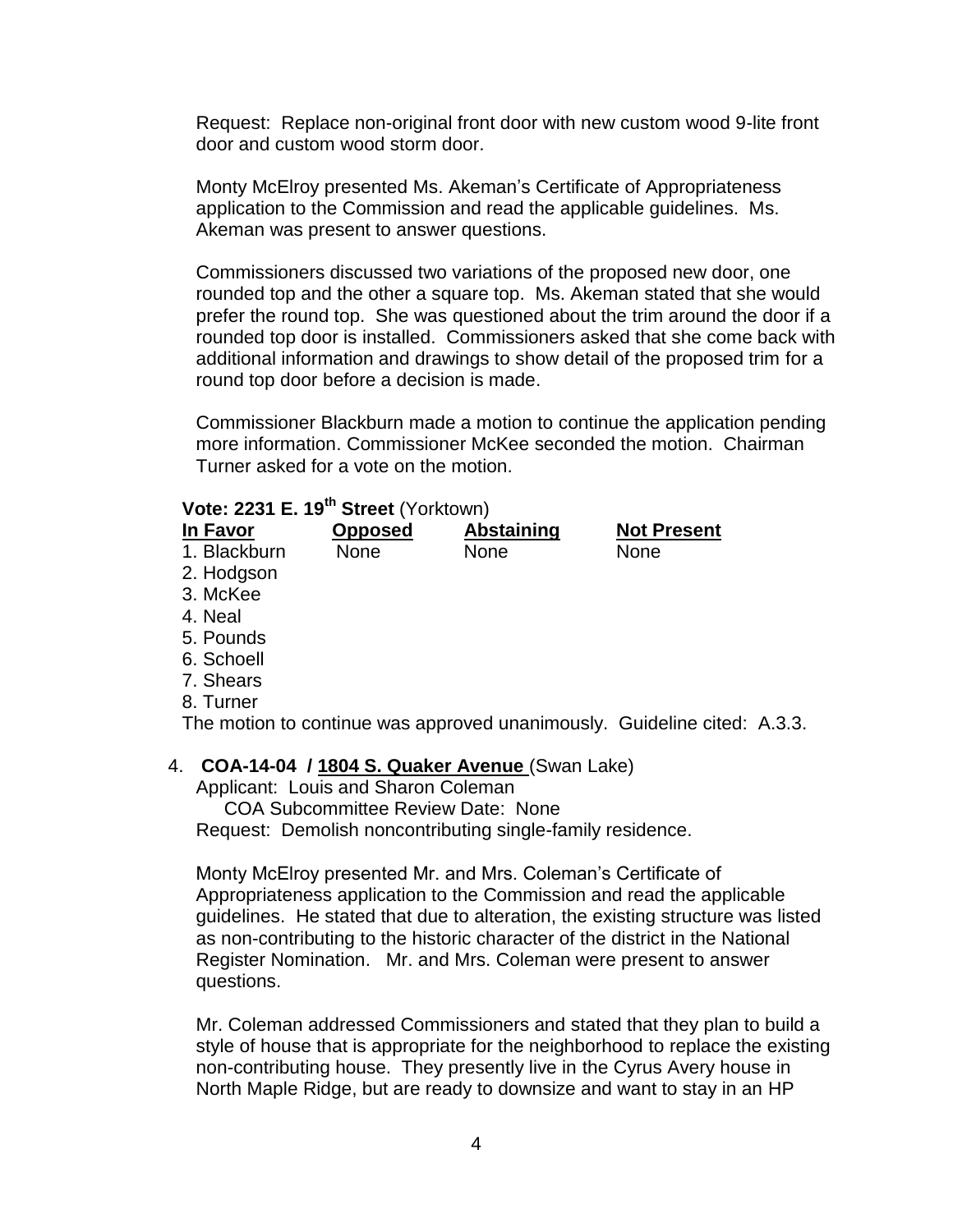Request: Replace non-original front door with new custom wood 9-lite front door and custom wood storm door.

Monty McElroy presented Ms. Akeman's Certificate of Appropriateness application to the Commission and read the applicable guidelines. Ms. Akeman was present to answer questions.

Commissioners discussed two variations of the proposed new door, one rounded top and the other a square top. Ms. Akeman stated that she would prefer the round top. She was questioned about the trim around the door if a rounded top door is installed. Commissioners asked that she come back with additional information and drawings to show detail of the proposed trim for a round top door before a decision is made.

Commissioner Blackburn made a motion to continue the application pending more information. Commissioner McKee seconded the motion. Chairman Turner asked for a vote on the motion.

# **Vote: 2231 E. 19th Street** (Yorktown)

| In Favor     | <b>Opposed</b> | <b>Abstaining</b>                                                        | <b>Not Present</b> |  |
|--------------|----------------|--------------------------------------------------------------------------|--------------------|--|
| 1. Blackburn | <b>None</b>    | None                                                                     | None               |  |
| 2. Hodgson   |                |                                                                          |                    |  |
| 3. McKee     |                |                                                                          |                    |  |
| 4. Neal      |                |                                                                          |                    |  |
| 5. Pounds    |                |                                                                          |                    |  |
| 6. Schoell   |                |                                                                          |                    |  |
| 7. Shears    |                |                                                                          |                    |  |
| 8. Turner    |                |                                                                          |                    |  |
|              |                | The motion to continue was approved unanimously. Guideline cited: A.3.3. |                    |  |
|              |                | COA-14-04 / 1804 S. Quaker Avenue (Swan Lake)                            |                    |  |

4. **COA-14-04 / 1804 S. Quaker Avenue** (Swan Lake)

Applicant: Louis and Sharon Coleman COA Subcommittee Review Date: None Request: Demolish noncontributing single-family residence.

Monty McElroy presented Mr. and Mrs. Coleman's Certificate of Appropriateness application to the Commission and read the applicable guidelines. He stated that due to alteration, the existing structure was listed as non-contributing to the historic character of the district in the National Register Nomination. Mr. and Mrs. Coleman were present to answer questions.

Mr. Coleman addressed Commissioners and stated that they plan to build a style of house that is appropriate for the neighborhood to replace the existing non-contributing house. They presently live in the Cyrus Avery house in North Maple Ridge, but are ready to downsize and want to stay in an HP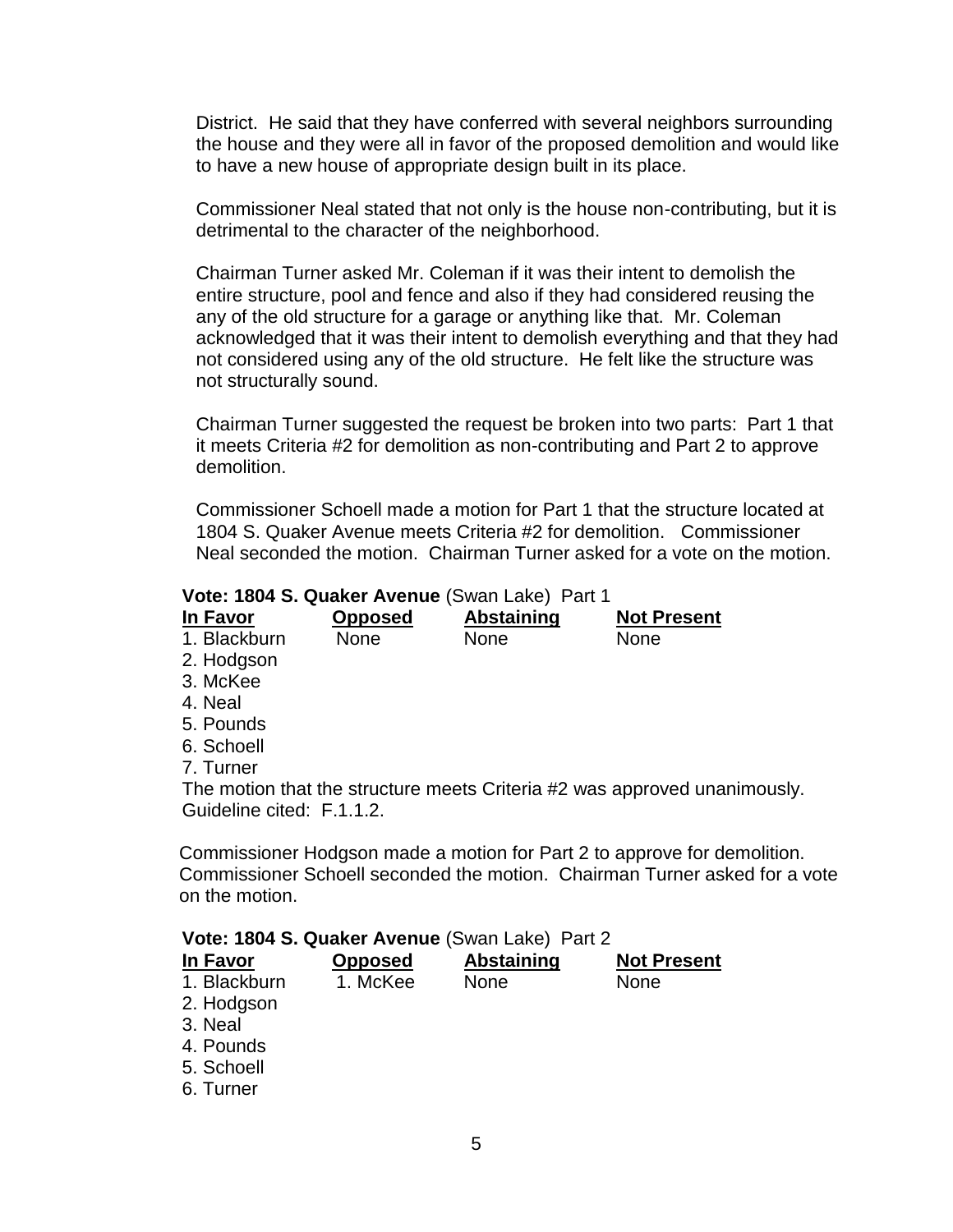District. He said that they have conferred with several neighbors surrounding the house and they were all in favor of the proposed demolition and would like to have a new house of appropriate design built in its place.

Commissioner Neal stated that not only is the house non-contributing, but it is detrimental to the character of the neighborhood.

Chairman Turner asked Mr. Coleman if it was their intent to demolish the entire structure, pool and fence and also if they had considered reusing the any of the old structure for a garage or anything like that. Mr. Coleman acknowledged that it was their intent to demolish everything and that they had not considered using any of the old structure. He felt like the structure was not structurally sound.

Chairman Turner suggested the request be broken into two parts: Part 1 that it meets Criteria #2 for demolition as non-contributing and Part 2 to approve demolition.

Commissioner Schoell made a motion for Part 1 that the structure located at 1804 S. Quaker Avenue meets Criteria #2 for demolition. Commissioner Neal seconded the motion. Chairman Turner asked for a vote on the motion.

#### **Vote: 1804 S. Quaker Avenue** (Swan Lake) Part 1

| In Favor     | <b>Opposed</b> | <b>Abstaining</b> | <b>Not Present</b> |
|--------------|----------------|-------------------|--------------------|
| 1. Blackburn | <b>None</b>    | None              | None               |
| 2. Hodgson   |                |                   |                    |
| 3. McKee     |                |                   |                    |
| 4. Neal      |                |                   |                    |
| E D. 1-      |                |                   |                    |

- 5. Pounds
- 6. Schoell
- 7. Turner

The motion that the structure meets Criteria #2 was approved unanimously. Guideline cited: F.1.1.2.

Commissioner Hodgson made a motion for Part 2 to approve for demolition. Commissioner Schoell seconded the motion. Chairman Turner asked for a vote on the motion.

| Vote: 1804 S. Quaker Avenue (Swan Lake) Part 2 |  |  |
|------------------------------------------------|--|--|
|------------------------------------------------|--|--|

| In Favor     | <b>Opposed</b> | <b>Abstaining</b> | <b>Not Present</b> |
|--------------|----------------|-------------------|--------------------|
| 1. Blackburn | 1. McKee       | <b>None</b>       | <b>None</b>        |
| 2. Hodgson   |                |                   |                    |
| 3. Neal      |                |                   |                    |
| 4. Pounds    |                |                   |                    |
| 5. Schoell   |                |                   |                    |
| 6. Turner    |                |                   |                    |
|              |                |                   |                    |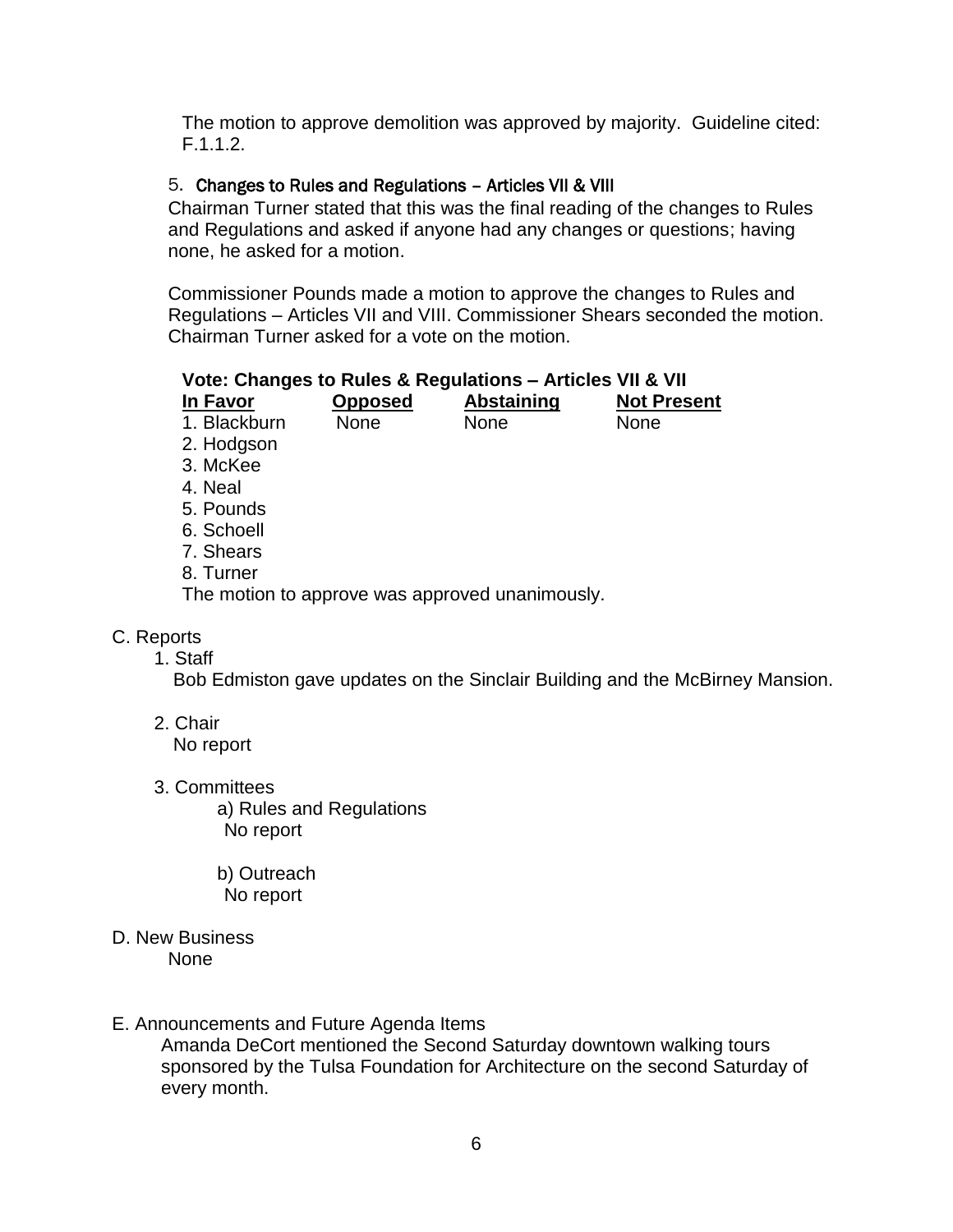The motion to approve demolition was approved by majority. Guideline cited: F.1.1.2.

#### 5. Changes to Rules and Regulations – Articles VII & VIII

Chairman Turner stated that this was the final reading of the changes to Rules and Regulations and asked if anyone had any changes or questions; having none, he asked for a motion.

Commissioner Pounds made a motion to approve the changes to Rules and Regulations – Articles VII and VIII. Commissioner Shears seconded the motion. Chairman Turner asked for a vote on the motion.

| Vote: Changes to Rules & Regulations - Articles VII & VII |                |                   |                    |
|-----------------------------------------------------------|----------------|-------------------|--------------------|
| In Favor                                                  | <b>Opposed</b> | <b>Abstaining</b> | <b>Not Present</b> |
| 1. Blackburn                                              | None           | None              | None               |
| 2. Hodgson                                                |                |                   |                    |
| 3. McKee                                                  |                |                   |                    |
| 4. Neal                                                   |                |                   |                    |
| 5. Pounds                                                 |                |                   |                    |
| 6. Schoell                                                |                |                   |                    |
| 7. Shears                                                 |                |                   |                    |
| 8. Turner                                                 |                |                   |                    |
| The motion to approve was approved unanimously.           |                |                   |                    |

#### C. Reports

1. Staff

Bob Edmiston gave updates on the Sinclair Building and the McBirney Mansion.

2. Chair

No report

3. Committees

a) Rules and Regulations No report

b) Outreach No report

D. New Business None

#### E. Announcements and Future Agenda Items

Amanda DeCort mentioned the Second Saturday downtown walking tours sponsored by the Tulsa Foundation for Architecture on the second Saturday of every month.